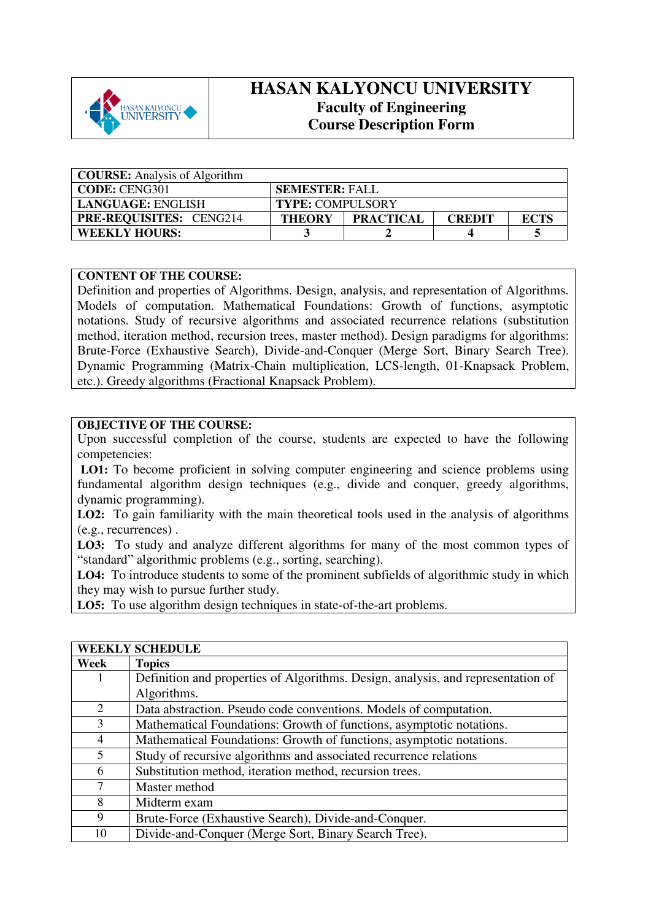

## **HASAN KALYONCU UNIVERSITY Faculty of Engineering Course Description Form**

| <b>COURSE:</b> Analysis of Algorithm |                                                                   |  |  |  |  |
|--------------------------------------|-------------------------------------------------------------------|--|--|--|--|
| <b>CODE: CENG301</b>                 | <b>SEMESTER: FALL</b>                                             |  |  |  |  |
| <b>LANGUAGE: ENGLISH</b>             | <b>TYPE: COMPULSORY</b>                                           |  |  |  |  |
| <b>PRE-REQUISITES: CENG214</b>       | <b>PRACTICAL</b><br><b>THEORY</b><br><b>ECTS</b><br><b>CREDIT</b> |  |  |  |  |
| <b>WEEKLY HOURS:</b>                 |                                                                   |  |  |  |  |

## **CONTENT OF THE COURSE:**

Definition and properties of Algorithms. Design, analysis, and representation of Algorithms. Models of computation. Mathematical Foundations: Growth of functions, asymptotic notations. Study of recursive algorithms and associated recurrence relations (substitution method, iteration method, recursion trees, master method). Design paradigms for algorithms: Brute-Force (Exhaustive Search), Divide-and-Conquer (Merge Sort, Binary Search Tree). Dynamic Programming (Matrix-Chain multiplication, LCS-length, 01-Knapsack Problem, etc.). Greedy algorithms (Fractional Knapsack Problem).

## **OBJECTIVE OF THE COURSE:**

Upon successful completion of the course, students are expected to have the following competencies:

LO1: To become proficient in solving computer engineering and science problems using fundamental algorithm design techniques (e.g., divide and conquer, greedy algorithms, dynamic programming).

LO2: To gain familiarity with the main theoretical tools used in the analysis of algorithms (e.g., recurrences) .

**LO3:** To study and analyze different algorithms for many of the most common types of "standard" algorithmic problems (e.g., sorting, searching).

**LO4:** To introduce students to some of the prominent subfields of algorithmic study in which they may wish to pursue further study.

**LO5:** To use algorithm design techniques in state-of-the-art problems.

| <b>WEEKLY SCHEDULE</b> |                                                                                  |  |  |
|------------------------|----------------------------------------------------------------------------------|--|--|
| Week                   | <b>Topics</b>                                                                    |  |  |
|                        | Definition and properties of Algorithms. Design, analysis, and representation of |  |  |
|                        | Algorithms.                                                                      |  |  |
| 2                      | Data abstraction. Pseudo code conventions. Models of computation.                |  |  |
| 3                      | Mathematical Foundations: Growth of functions, asymptotic notations.             |  |  |
| $\overline{4}$         | Mathematical Foundations: Growth of functions, asymptotic notations.             |  |  |
| 5                      | Study of recursive algorithms and associated recurrence relations                |  |  |
| 6                      | Substitution method, iteration method, recursion trees.                          |  |  |
| 7                      | Master method                                                                    |  |  |
| 8                      | Midterm exam                                                                     |  |  |
| 9                      | Brute-Force (Exhaustive Search), Divide-and-Conquer.                             |  |  |
| 10                     | Divide-and-Conquer (Merge Sort, Binary Search Tree).                             |  |  |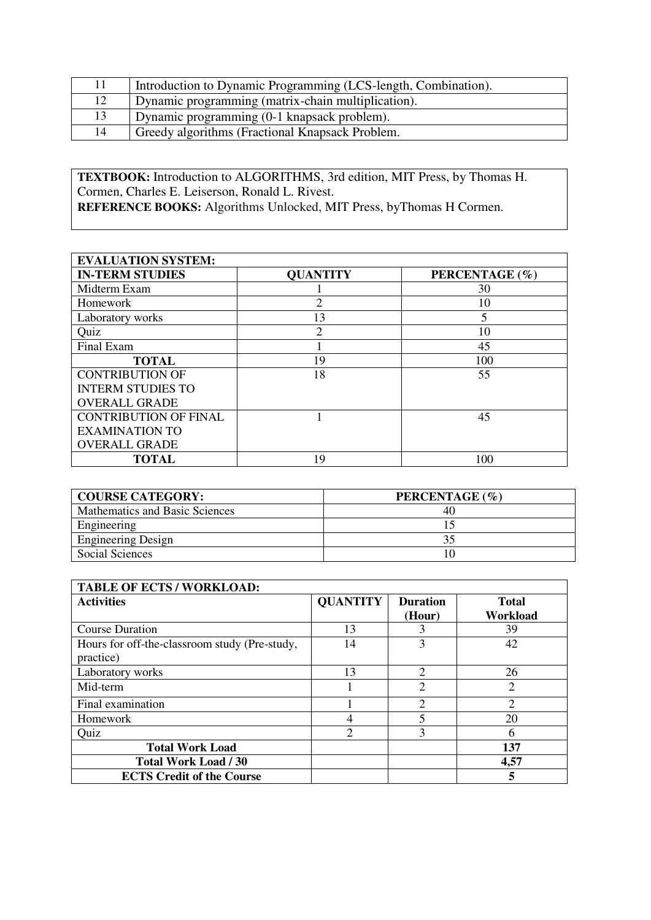| 11 | Introduction to Dynamic Programming (LCS-length, Combination). |
|----|----------------------------------------------------------------|
| 12 | Dynamic programming (matrix-chain multiplication).             |
| 13 | Dynamic programming (0-1 knapsack problem).                    |
| 14 | Greedy algorithms (Fractional Knapsack Problem.                |

**TEXTBOOK:** Introduction to ALGORITHMS, 3rd edition, MIT Press, by Thomas H. Cormen, Charles E. Leiserson, Ronald L. Rivest.

**REFERENCE BOOKS:** Algorithms Unlocked, MIT Press, byThomas H Cormen.

| <b>EVALUATION SYSTEM:</b>    |                 |                |  |  |  |
|------------------------------|-----------------|----------------|--|--|--|
| <b>IN-TERM STUDIES</b>       | <b>QUANTITY</b> | PERCENTAGE (%) |  |  |  |
| Midterm Exam                 |                 | 30             |  |  |  |
| Homework                     |                 | 10             |  |  |  |
| Laboratory works             | 13              | 5              |  |  |  |
| Quiz                         | $\overline{c}$  | 10             |  |  |  |
| Final Exam                   |                 | 45             |  |  |  |
| <b>TOTAL</b>                 | 19              | 100            |  |  |  |
| <b>CONTRIBUTION OF</b>       | 18              | 55             |  |  |  |
| <b>INTERM STUDIES TO</b>     |                 |                |  |  |  |
| <b>OVERALL GRADE</b>         |                 |                |  |  |  |
| <b>CONTRIBUTION OF FINAL</b> |                 | 45             |  |  |  |
| <b>EXAMINATION TO</b>        |                 |                |  |  |  |
| <b>OVERALL GRADE</b>         |                 |                |  |  |  |
| <b>TOTAL</b>                 | 19              | 100            |  |  |  |

| <b>COURSE CATEGORY:</b>        | PERCENTAGE (%) |
|--------------------------------|----------------|
| Mathematics and Basic Sciences | 40             |
| Engineering                    |                |
| <b>Engineering Design</b>      |                |
| Social Sciences                |                |

| <b>TABLE OF ECTS / WORKLOAD:</b>                           |                 |                           |                          |
|------------------------------------------------------------|-----------------|---------------------------|--------------------------|
| <b>Activities</b>                                          | <b>QUANTITY</b> | <b>Duration</b><br>(Hour) | <b>Total</b><br>Workload |
| <b>Course Duration</b>                                     | 13              |                           | 39                       |
| Hours for off-the-classroom study (Pre-study,<br>practice) | 14              | 3                         | 42                       |
| Laboratory works                                           | 13              | ◠                         | 26                       |
| Mid-term                                                   |                 | $\overline{2}$            | 2                        |
| Final examination                                          |                 |                           | ↑                        |
| Homework                                                   | 4               | 5                         | 20                       |
| Quiz                                                       | 2               | 3                         | 6                        |
| <b>Total Work Load</b>                                     |                 |                           | 137                      |
| <b>Total Work Load / 30</b>                                |                 |                           | 4,57                     |
| <b>ECTS Credit of the Course</b>                           |                 |                           | 5                        |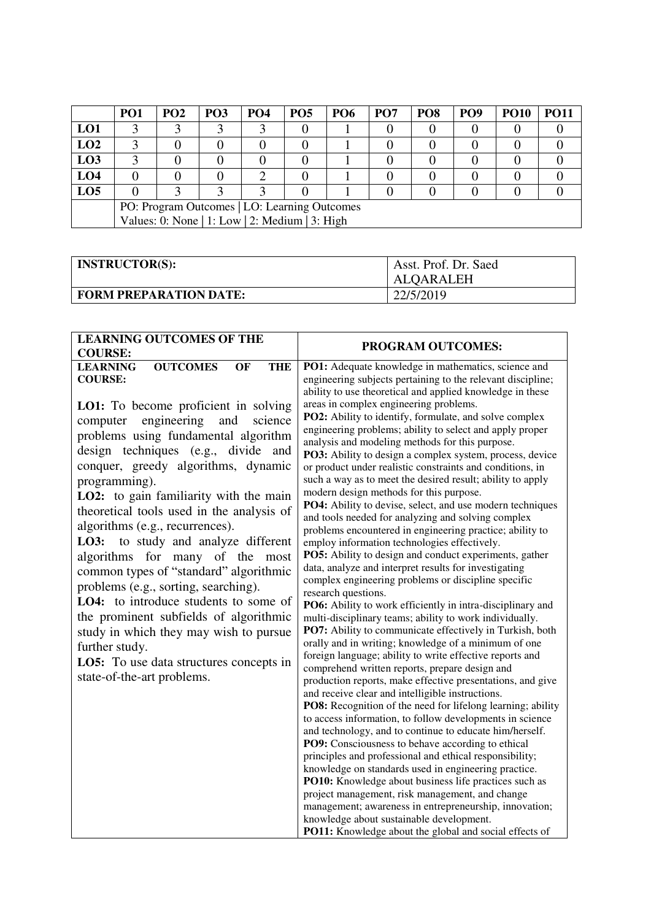|                 | PO <sub>1</sub>                                | PO <sub>2</sub> | PO <sub>3</sub> | PO <sub>4</sub> | PO <sub>5</sub> | <b>PO6</b> | PO <sub>7</sub> | PO <sub>8</sub> | PO <sub>9</sub> | <b>PO10</b> | <b>PO11</b> |
|-----------------|------------------------------------------------|-----------------|-----------------|-----------------|-----------------|------------|-----------------|-----------------|-----------------|-------------|-------------|
| LO1             |                                                |                 |                 |                 |                 |            |                 |                 |                 |             |             |
| LO2             |                                                |                 |                 |                 |                 |            |                 |                 |                 |             |             |
| LO <sub>3</sub> |                                                |                 |                 |                 |                 |            |                 |                 |                 |             |             |
| LO4             |                                                |                 |                 |                 |                 |            |                 |                 |                 |             |             |
| LO <sub>5</sub> |                                                |                 |                 |                 |                 |            |                 |                 |                 |             |             |
|                 | PO: Program Outcomes   LO: Learning Outcomes   |                 |                 |                 |                 |            |                 |                 |                 |             |             |
|                 | Values: 0: None   1: Low   2: Medium   3: High |                 |                 |                 |                 |            |                 |                 |                 |             |             |

| <b>INSTRUCTOR(S):</b>         | Asst. Prof. Dr. Saed |
|-------------------------------|----------------------|
|                               | ALQARALEH            |
| <b>FORM PREPARATION DATE:</b> | 22/5/2019            |

| <b>LEARNING OUTCOMES OF THE</b><br><b>COURSE:</b>                                                                                                                                                                                                                                                                                                                                                                                                                                                                                                                                                                                                                                                                                                                                                                                | <b>PROGRAM OUTCOMES:</b>                                                                                                                                                                                                                                                                                                                                                                                                                                                                                                                                                                                                                                                                                                                                                                                                                                                                                                                                                                                                                                                                                                                                                                                                                                                                                                                                                                                                                                                                                                                                                                                                                                                                                                                |
|----------------------------------------------------------------------------------------------------------------------------------------------------------------------------------------------------------------------------------------------------------------------------------------------------------------------------------------------------------------------------------------------------------------------------------------------------------------------------------------------------------------------------------------------------------------------------------------------------------------------------------------------------------------------------------------------------------------------------------------------------------------------------------------------------------------------------------|-----------------------------------------------------------------------------------------------------------------------------------------------------------------------------------------------------------------------------------------------------------------------------------------------------------------------------------------------------------------------------------------------------------------------------------------------------------------------------------------------------------------------------------------------------------------------------------------------------------------------------------------------------------------------------------------------------------------------------------------------------------------------------------------------------------------------------------------------------------------------------------------------------------------------------------------------------------------------------------------------------------------------------------------------------------------------------------------------------------------------------------------------------------------------------------------------------------------------------------------------------------------------------------------------------------------------------------------------------------------------------------------------------------------------------------------------------------------------------------------------------------------------------------------------------------------------------------------------------------------------------------------------------------------------------------------------------------------------------------------|
| <b>OUTCOMES</b><br><b>THE</b><br><b>LEARNING</b><br>OF<br><b>COURSE:</b><br><b>LO1:</b> To become proficient in solving<br>engineering<br>and<br>science<br>computer<br>problems using fundamental algorithm<br>design techniques (e.g., divide and<br>conquer, greedy algorithms, dynamic<br>programming).<br>LO2: to gain familiarity with the main<br>theoretical tools used in the analysis of<br>algorithms (e.g., recurrences).<br>LO3: to study and analyze different<br>algorithms for many of the most<br>common types of "standard" algorithmic<br>problems (e.g., sorting, searching).<br>LO4: to introduce students to some of<br>the prominent subfields of algorithmic<br>study in which they may wish to pursue<br>further study.<br><b>LO5:</b> To use data structures concepts in<br>state-of-the-art problems. | PO1: Adequate knowledge in mathematics, science and<br>engineering subjects pertaining to the relevant discipline;<br>ability to use theoretical and applied knowledge in these<br>areas in complex engineering problems.<br>PO2: Ability to identify, formulate, and solve complex<br>engineering problems; ability to select and apply proper<br>analysis and modeling methods for this purpose.<br>PO3: Ability to design a complex system, process, device<br>or product under realistic constraints and conditions, in<br>such a way as to meet the desired result; ability to apply<br>modern design methods for this purpose.<br>PO4: Ability to devise, select, and use modern techniques<br>and tools needed for analyzing and solving complex<br>problems encountered in engineering practice; ability to<br>employ information technologies effectively.<br>PO5: Ability to design and conduct experiments, gather<br>data, analyze and interpret results for investigating<br>complex engineering problems or discipline specific<br>research questions.<br>PO6: Ability to work efficiently in intra-disciplinary and<br>multi-disciplinary teams; ability to work individually.<br>PO7: Ability to communicate effectively in Turkish, both<br>orally and in writing; knowledge of a minimum of one<br>foreign language; ability to write effective reports and<br>comprehend written reports, prepare design and<br>production reports, make effective presentations, and give<br>and receive clear and intelligible instructions.<br>PO8: Recognition of the need for lifelong learning; ability<br>to access information, to follow developments in science<br>and technology, and to continue to educate him/herself. |
|                                                                                                                                                                                                                                                                                                                                                                                                                                                                                                                                                                                                                                                                                                                                                                                                                                  |                                                                                                                                                                                                                                                                                                                                                                                                                                                                                                                                                                                                                                                                                                                                                                                                                                                                                                                                                                                                                                                                                                                                                                                                                                                                                                                                                                                                                                                                                                                                                                                                                                                                                                                                         |
|                                                                                                                                                                                                                                                                                                                                                                                                                                                                                                                                                                                                                                                                                                                                                                                                                                  | PO9: Consciousness to behave according to ethical<br>principles and professional and ethical responsibility;<br>knowledge on standards used in engineering practice.                                                                                                                                                                                                                                                                                                                                                                                                                                                                                                                                                                                                                                                                                                                                                                                                                                                                                                                                                                                                                                                                                                                                                                                                                                                                                                                                                                                                                                                                                                                                                                    |
|                                                                                                                                                                                                                                                                                                                                                                                                                                                                                                                                                                                                                                                                                                                                                                                                                                  | PO10: Knowledge about business life practices such as<br>project management, risk management, and change<br>management; awareness in entrepreneurship, innovation;<br>knowledge about sustainable development.                                                                                                                                                                                                                                                                                                                                                                                                                                                                                                                                                                                                                                                                                                                                                                                                                                                                                                                                                                                                                                                                                                                                                                                                                                                                                                                                                                                                                                                                                                                          |
|                                                                                                                                                                                                                                                                                                                                                                                                                                                                                                                                                                                                                                                                                                                                                                                                                                  | PO11: Knowledge about the global and social effects of                                                                                                                                                                                                                                                                                                                                                                                                                                                                                                                                                                                                                                                                                                                                                                                                                                                                                                                                                                                                                                                                                                                                                                                                                                                                                                                                                                                                                                                                                                                                                                                                                                                                                  |